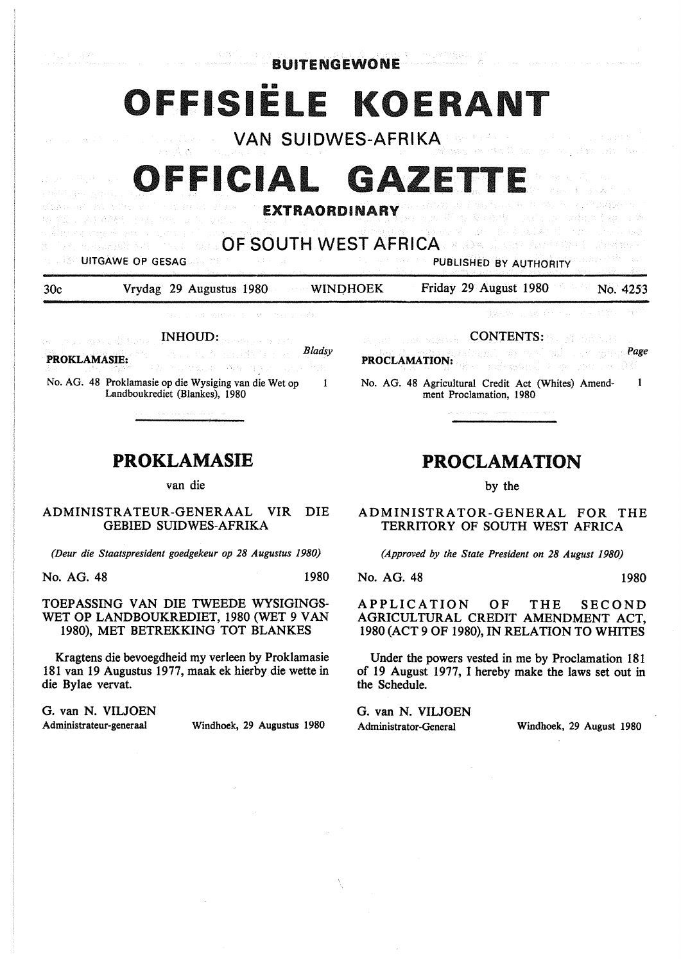BUITENGEWONE

# **1916**

VAN SUIDWES-AFRIKA

## FFICIAL GAZETT

#### **EXTRAORDINARY**

OF SOUTH WEST AFRICA

UITGAWE OP GESAG PUBLISHED BY AUTHORITY

30c Vrydag 29 Augustus 1980 WINOHOEK Friday 29 August 1980 No. 4253

INHOUD: a consumed at the *B/adsy*  and subscription of **PROKLAMASIE:**  maging days of the state of the state

No. AG. 48 Proklamasie op die Wysiging van die Wet op  $\mathbf{1}$ Landboukrediet (Blankes), 1980

### **PROKLAMASIE**

van die

ADMINISTRA TEUR-GENERAAL VIR DIE GEBIED SUIDWES-AFRIKA

*(Deur die Staatspresident goedgekeur op 28 Augustus 1980)* 

No. AG. 48 1980

#### TOEPASSING VAN DIE TWEEDE WYSIGINGS-WET OP LANDBOUKREDIET, 1980 (WET 9 VAN 1980), MET BETREKKING TOT BLANKES

Kragtens die bevoegdheid my verleen by Proklamasie 181 van 19 Augustus 1977, maak ek hierby die wette in die Bylae vervat.

G. van N. VIUOEN

Administrateur-generaal Windhoek, 29 Augustus 1980

CONTENTS:

*Page*  **PROCLAMATION:**  أنهاء والمعاونة فأقالهم u se dêjî

No. AG. 48 Agricultural Credit Act (Whites) Amend- $\mathbf{I}$ ment Proclamation, 1980

## **PROCLAMATION**

by the

ADMINISTRATOR-GENERAL FOR THE TERRITORY OF SOUTH WEST AFRICA

*(Approved by the State President on 28 August 1980)* 

No. AG. 48 1980

APPLICATION OF THE SECOND AGRICULTURAL CREDIT AMENDMENT ACT, 1980 (ACT 9 OF 1980), IN RELATION TO WHITES

Under the powers vested in me by Proclamation 181 of 19 August 1977, I hereby make the laws set out in the Schedule.

G. van N. VIUOEN

Administrator-General Windhoek, 29 August 1980